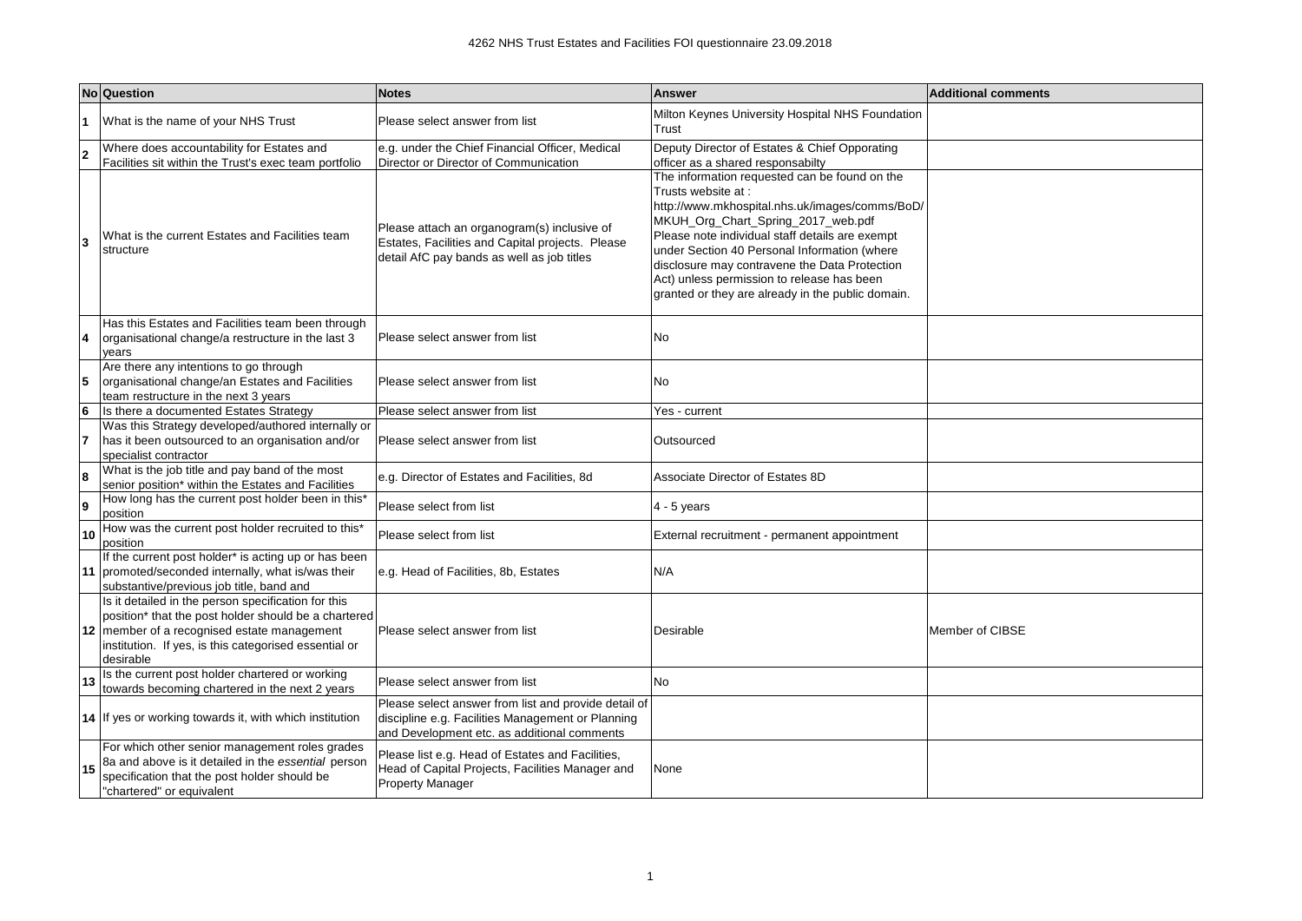|    | No Question                                                                                                                                                                                                                      | <b>Notes</b>                                                                                                                                                                           | <b>Answer</b>                                                                                                                                                                                                                                                                                                                                                                                                                                            | <b>Additional comments</b> |
|----|----------------------------------------------------------------------------------------------------------------------------------------------------------------------------------------------------------------------------------|----------------------------------------------------------------------------------------------------------------------------------------------------------------------------------------|----------------------------------------------------------------------------------------------------------------------------------------------------------------------------------------------------------------------------------------------------------------------------------------------------------------------------------------------------------------------------------------------------------------------------------------------------------|----------------------------|
|    | What is the name of your NHS Trust                                                                                                                                                                                               | Please select answer from list                                                                                                                                                         | Milton Keynes University Hospital NHS Foundation<br>Trust                                                                                                                                                                                                                                                                                                                                                                                                |                            |
| l2 | Where does accountability for Estates and                                                                                                                                                                                        | e.g. under the Chief Financial Officer, Medical                                                                                                                                        | Deputy Director of Estates & Chief Opporating                                                                                                                                                                                                                                                                                                                                                                                                            |                            |
|    | Facilities sit within the Trust's exec team portfolio<br>What is the current Estates and Facilities team<br>structure                                                                                                            | Director or Director of Communication<br>Please attach an organogram(s) inclusive of<br>Estates, Facilities and Capital projects. Please<br>detail AfC pay bands as well as job titles | officer as a shared responsabilty<br>The information requested can be found on the<br>Trusts website at :<br>http://www.mkhospital.nhs.uk/images/comms/BoD/<br>MKUH_Org_Chart_Spring_2017_web.pdf<br>Please note individual staff details are exempt<br>under Section 40 Personal Information (where<br>disclosure may contravene the Data Protection<br>Act) unless permission to release has been<br>granted or they are already in the public domain. |                            |
| 14 | Has this Estates and Facilities team been through<br>organisational change/a restructure in the last 3<br>vears                                                                                                                  | Please select answer from list                                                                                                                                                         | No                                                                                                                                                                                                                                                                                                                                                                                                                                                       |                            |
| 5  | Are there any intentions to go through<br>organisational change/an Estates and Facilities<br>team restructure in the next 3 years                                                                                                | Please select answer from list                                                                                                                                                         | No                                                                                                                                                                                                                                                                                                                                                                                                                                                       |                            |
| 6  | Is there a documented Estates Strategy                                                                                                                                                                                           | Please select answer from list                                                                                                                                                         | Yes - current                                                                                                                                                                                                                                                                                                                                                                                                                                            |                            |
| 17 | Was this Strategy developed/authored internally or<br>has it been outsourced to an organisation and/or<br>specialist contractor                                                                                                  | Please select answer from list                                                                                                                                                         | Outsourced                                                                                                                                                                                                                                                                                                                                                                                                                                               |                            |
| 8  | What is the job title and pay band of the most<br>senior position* within the Estates and Facilities                                                                                                                             | e.g. Director of Estates and Facilities, 8d                                                                                                                                            | Associate Director of Estates 8D                                                                                                                                                                                                                                                                                                                                                                                                                         |                            |
| 9  | How long has the current post holder been in this'<br>position                                                                                                                                                                   | Please select from list                                                                                                                                                                | $4 - 5$ years                                                                                                                                                                                                                                                                                                                                                                                                                                            |                            |
| 10 | How was the current post holder recruited to this*<br>position                                                                                                                                                                   | Please select from list                                                                                                                                                                | External recruitment - permanent appointment                                                                                                                                                                                                                                                                                                                                                                                                             |                            |
|    | If the current post holder* is acting up or has been<br>11 promoted/seconded internally, what is/was their<br>substantive/previous job title, band and                                                                           | e.g. Head of Facilities, 8b, Estates                                                                                                                                                   | N/A                                                                                                                                                                                                                                                                                                                                                                                                                                                      |                            |
|    | Is it detailed in the person specification for this<br>position* that the post holder should be a chartered<br>12 member of a recognised estate management<br>institution. If yes, is this categorised essential or<br>desirable | Please select answer from list                                                                                                                                                         | Desirable                                                                                                                                                                                                                                                                                                                                                                                                                                                | Member of CIBSE            |
|    | Is the current post holder chartered or working<br>towards becoming chartered in the next 2 years                                                                                                                                | Please select answer from list                                                                                                                                                         | No                                                                                                                                                                                                                                                                                                                                                                                                                                                       |                            |
|    | 14 If yes or working towards it, with which institution                                                                                                                                                                          | Please select answer from list and provide detail of<br>discipline e.g. Facilities Management or Planning<br>and Development etc. as additional comments                               |                                                                                                                                                                                                                                                                                                                                                                                                                                                          |                            |
| 15 | For which other senior management roles grades<br>8a and above is it detailed in the essential person<br>specification that the post holder should be<br>"chartered" or equivalent                                               | Please list e.g. Head of Estates and Facilities,<br>Head of Capital Projects, Facilities Manager and<br><b>Property Manager</b>                                                        | None                                                                                                                                                                                                                                                                                                                                                                                                                                                     |                            |